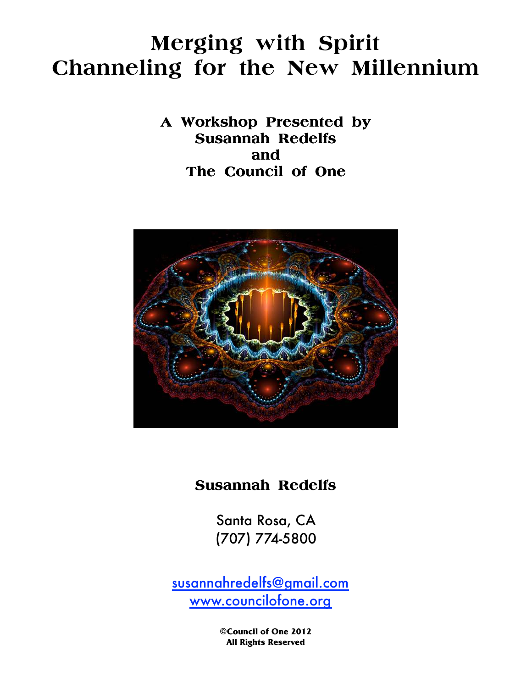# **Merging with Spirit Channeling for the New Millennium**

**A Workshop Presented by Susannah Redelfs and The Council of One** 



## **Susannah Redelfs Redelfs**

 (707) 774-5800 Santa Rosa, CA

susannahredelfs@gmail.com www.councilofone.org

> **©Council of One 2012 All Rights Reserved**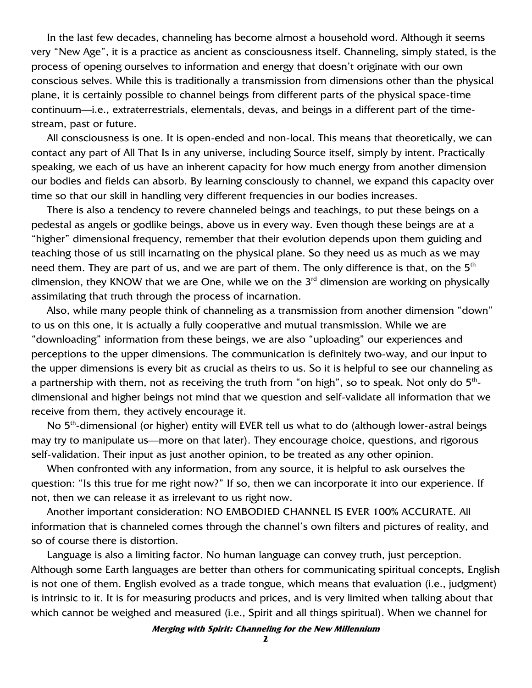In the last few decades, channeling has become almost a household word. Although it seems very "New Age", it is a practice as ancient as consciousness itself. Channeling, simply stated, is the process of opening ourselves to information and energy that doesn't originate with our own conscious selves. While this is traditionally a transmission from dimensions other than the physical plane, it is certainly possible to channel beings from different parts of the physical space-time continuum—i.e., extraterrestrials, elementals, devas, and beings in a different part of the timestream, past or future.

All consciousness is one. It is open-ended and non-local. This means that theoretically, we can contact any part of All That Is in any universe, including Source itself, simply by intent. Practically speaking, we each of us have an inherent capacity for how much energy from another dimension our bodies and fields can absorb. By learning consciously to channel, we expand this capacity over time so that our skill in handling very different frequencies in our bodies increases.

There is also a tendency to revere channeled beings and teachings, to put these beings on a pedestal as angels or godlike beings, above us in every way. Even though these beings are at a "higher" dimensional frequency, remember that their evolution depends upon them guiding and teaching those of us still incarnating on the physical plane. So they need us as much as we may need them. They are part of us, and we are part of them. The only difference is that, on the  $5<sup>th</sup>$ dimension, they KNOW that we are One, while we on the 3<sup>rd</sup> dimension are working on physically assimilating that truth through the process of incarnation.

Also, while many people think of channeling as a transmission from another dimension "down" to us on this one, it is actually a fully cooperative and mutual transmission. While we are "downloading" information from these beings, we are also "uploading" our experiences and perceptions to the upper dimensions. The communication is definitely two-way, and our input to the upper dimensions is every bit as crucial as theirs to us. So it is helpful to see our channeling as a partnership with them, not as receiving the truth from "on high", so to speak. Not only do  $5^{\text{th}}$ dimensional and higher beings not mind that we question and self-validate all information that we receive from them, they actively encourage it.

No  $5<sup>th</sup>$ -dimensional (or higher) entity will EVER tell us what to do (although lower-astral beings may try to manipulate us—more on that later). They encourage choice, questions, and rigorous self-validation. Their input as just another opinion, to be treated as any other opinion.

When confronted with any information, from any source, it is helpful to ask ourselves the question: "Is this true for me right now?" If so, then we can incorporate it into our experience. If not, then we can release it as irrelevant to us right now.

Another important consideration: NO EMBODIED CHANNEL IS EVER 100% ACCURATE. All information that is channeled comes through the channel's own filters and pictures of reality, and so of course there is distortion.

Language is also a limiting factor. No human language can convey truth, just perception. Although some Earth languages are better than others for communicating spiritual concepts, English is not one of them. English evolved as a trade tongue, which means that evaluation (i.e., judgment) is intrinsic to it. It is for measuring products and prices, and is very limited when talking about that which cannot be weighed and measured (i.e., Spirit and all things spiritual). When we channel for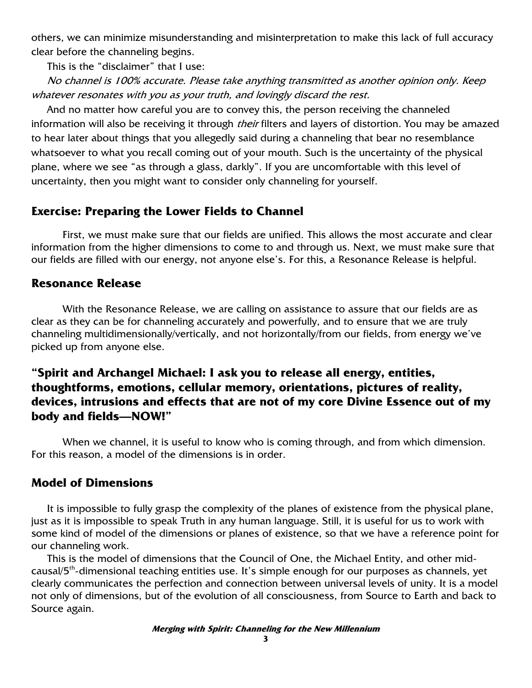others, we can minimize misunderstanding and misinterpretation to make this lack of full accuracy clear before the channeling begins.

This is the "disclaimer" that I use:

No channel is 100% accurate. Please take anything transmitted as another opinion only. Keep whatever resonates with you as your truth, and lovingly discard the rest.

And no matter how careful you are to convey this, the person receiving the channeled information will also be receiving it through *their* filters and layers of distortion. You may be amazed to hear later about things that you allegedly said during a channeling that bear no resemblance whatsoever to what you recall coming out of your mouth. Such is the uncertainty of the physical plane, where we see "as through a glass, darkly". If you are uncomfortable with this level of uncertainty, then you might want to consider only channeling for yourself.

## **Exercise: Preparing the Lower Fields to Channel**

First, we must make sure that our fields are unified. This allows the most accurate and clear information from the higher dimensions to come to and through us. Next, we must make sure that our fields are filled with our energy, not anyone else's. For this, a Resonance Release is helpful.

## **Resonance Release**

With the Resonance Release, we are calling on assistance to assure that our fields are as clear as they can be for channeling accurately and powerfully, and to ensure that we are truly channeling multidimensionally/vertically, and not horizontally/from our fields, from energy we've picked up from anyone else.

## **"Spirit and Archangel Michael: I ask you to release all energy, entities, thoughtforms, emotions, cellular memory, orientations, pictures of reality, devices, intrusions and effects that are not of my core Divine Essence out of my body and fields—NOW!"**

When we channel, it is useful to know who is coming through, and from which dimension. For this reason, a model of the dimensions is in order.

## **Model of Dimensions**

It is impossible to fully grasp the complexity of the planes of existence from the physical plane, just as it is impossible to speak Truth in any human language. Still, it is useful for us to work with some kind of model of the dimensions or planes of existence, so that we have a reference point for our channeling work.

This is the model of dimensions that the Council of One, the Michael Entity, and other midcausal/5<sup>th</sup>-dimensional teaching entities use. It's simple enough for our purposes as channels, yet clearly communicates the perfection and connection between universal levels of unity. It is a model not only of dimensions, but of the evolution of all consciousness, from Source to Earth and back to Source again.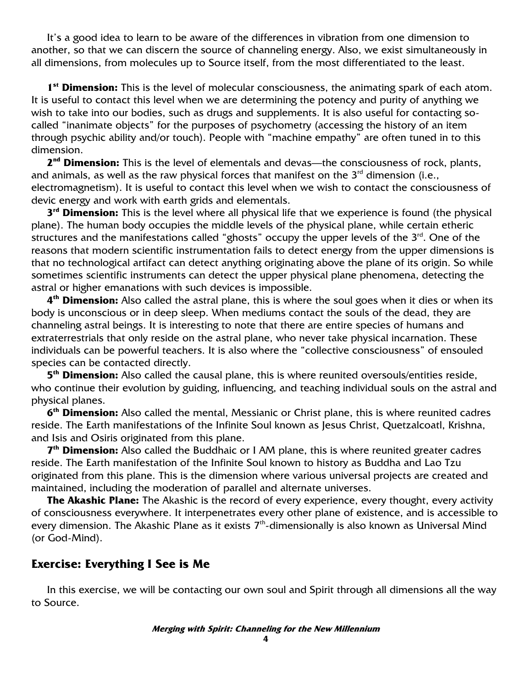It's a good idea to learn to be aware of the differences in vibration from one dimension to another, so that we can discern the source of channeling energy. Also, we exist simultaneously in all dimensions, from molecules up to Source itself, from the most differentiated to the least.

**1 st Dimension:** This is the level of molecular consciousness, the animating spark of each atom. It is useful to contact this level when we are determining the potency and purity of anything we wish to take into our bodies, such as drugs and supplements. It is also useful for contacting socalled "inanimate objects" for the purposes of psychometry (accessing the history of an item through psychic ability and/or touch). People with "machine empathy" are often tuned in to this dimension.

**2 nd Dimension:** This is the level of elementals and devas—the consciousness of rock, plants, and animals, as well as the raw physical forces that manifest on the  $3<sup>rd</sup>$  dimension (i.e., electromagnetism). It is useful to contact this level when we wish to contact the consciousness of devic energy and work with earth grids and elementals.

**3<sup>rd</sup> Dimension:** This is the level where all physical life that we experience is found (the physical plane). The human body occupies the middle levels of the physical plane, while certain etheric structures and the manifestations called "ghosts" occupy the upper levels of the  $3<sup>rd</sup>$ . One of the reasons that modern scientific instrumentation fails to detect energy from the upper dimensions is that no technological artifact can detect anything originating above the plane of its origin. So while sometimes scientific instruments can detect the upper physical plane phenomena, detecting the astral or higher emanations with such devices is impossible.

**4 th Dimension:** Also called the astral plane, this is where the soul goes when it dies or when its body is unconscious or in deep sleep. When mediums contact the souls of the dead, they are channeling astral beings. It is interesting to note that there are entire species of humans and extraterrestrials that only reside on the astral plane, who never take physical incarnation. These individuals can be powerful teachers. It is also where the "collective consciousness" of ensouled species can be contacted directly.

**5 th Dimension:** Also called the causal plane, this is where reunited oversouls/entities reside, who continue their evolution by guiding, influencing, and teaching individual souls on the astral and physical planes.

**6 th Dimension:** Also called the mental, Messianic or Christ plane, this is where reunited cadres reside. The Earth manifestations of the Infinite Soul known as Jesus Christ, Quetzalcoatl, Krishna, and Isis and Osiris originated from this plane.

**7<sup>th</sup> Dimension:** Also called the Buddhaic or I AM plane, this is where reunited greater cadres reside. The Earth manifestation of the Infinite Soul known to history as Buddha and Lao Tzu originated from this plane. This is the dimension where various universal projects are created and maintained, including the moderation of parallel and alternate universes.

**The Akashic Plane:** The Akashic is the record of every experience, every thought, every activity of consciousness everywhere. It interpenetrates every other plane of existence, and is accessible to every dimension. The Akashic Plane as it exists  $7<sup>th</sup>$ -dimensionally is also known as Universal Mind (or God-Mind).

#### **Exercise: Everything I See is Me**

In this exercise, we will be contacting our own soul and Spirit through all dimensions all the way to Source.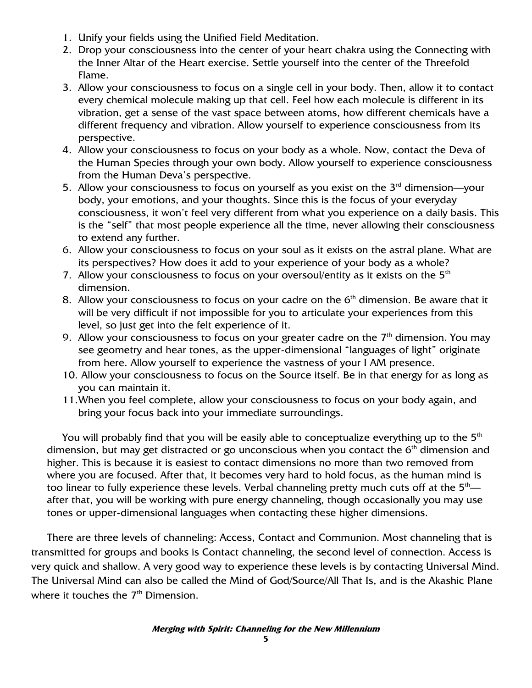- 1. Unify your fields using the Unified Field Meditation.
- 2. Drop your consciousness into the center of your heart chakra using the Connecting with the Inner Altar of the Heart exercise. Settle yourself into the center of the Threefold Flame.
- 3. Allow your consciousness to focus on a single cell in your body. Then, allow it to contact every chemical molecule making up that cell. Feel how each molecule is different in its vibration, get a sense of the vast space between atoms, how different chemicals have a different frequency and vibration. Allow yourself to experience consciousness from its perspective.
- 4. Allow your consciousness to focus on your body as a whole. Now, contact the Deva of the Human Species through your own body. Allow yourself to experience consciousness from the Human Deva's perspective.
- 5. Allow your consciousness to focus on yourself as you exist on the  $3<sup>rd</sup>$  dimension—vour body, your emotions, and your thoughts. Since this is the focus of your everyday consciousness, it won't feel very different from what you experience on a daily basis. This is the "self" that most people experience all the time, never allowing their consciousness to extend any further.
- 6. Allow your consciousness to focus on your soul as it exists on the astral plane. What are its perspectives? How does it add to your experience of your body as a whole?
- 7. Allow your consciousness to focus on your oversoul/entity as it exists on the  $5<sup>th</sup>$ dimension.
- 8. Allow your consciousness to focus on your cadre on the  $6<sup>th</sup>$  dimension. Be aware that it will be very difficult if not impossible for you to articulate your experiences from this level, so just get into the felt experience of it.
- 9. Allow your consciousness to focus on your greater cadre on the  $7<sup>th</sup>$  dimension. You may see geometry and hear tones, as the upper-dimensional "languages of light" originate from here. Allow yourself to experience the vastness of your I AM presence.
- 10. Allow your consciousness to focus on the Source itself. Be in that energy for as long as you can maintain it.
- 11.When you feel complete, allow your consciousness to focus on your body again, and bring your focus back into your immediate surroundings.

You will probably find that you will be easily able to conceptualize everything up to the  $5<sup>th</sup>$ dimension, but may get distracted or go unconscious when you contact the  $6<sup>th</sup>$  dimension and higher. This is because it is easiest to contact dimensions no more than two removed from where you are focused. After that, it becomes very hard to hold focus, as the human mind is too linear to fully experience these levels. Verbal channeling pretty much cuts off at the  $5<sup>th</sup>$  after that, you will be working with pure energy channeling, though occasionally you may use tones or upper-dimensional languages when contacting these higher dimensions.

There are three levels of channeling: Access, Contact and Communion. Most channeling that is transmitted for groups and books is Contact channeling, the second level of connection. Access is very quick and shallow. A very good way to experience these levels is by contacting Universal Mind. The Universal Mind can also be called the Mind of God/Source/All That Is, and is the Akashic Plane where it touches the  $7<sup>th</sup>$  Dimension.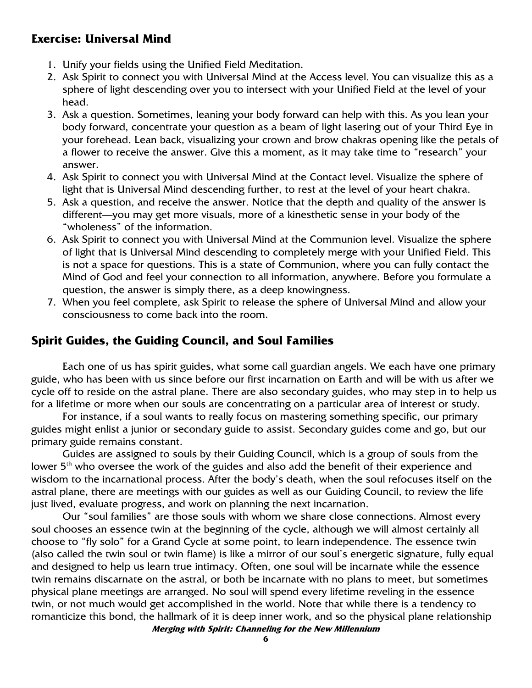## **Exercise: Universal Mind**

- 1. Unify your fields using the Unified Field Meditation.
- 2. Ask Spirit to connect you with Universal Mind at the Access level. You can visualize this as a sphere of light descending over you to intersect with your Unified Field at the level of your head.
- 3. Ask a question. Sometimes, leaning your body forward can help with this. As you lean your body forward, concentrate your question as a beam of light lasering out of your Third Eye in your forehead. Lean back, visualizing your crown and brow chakras opening like the petals of a flower to receive the answer. Give this a moment, as it may take time to "research" your answer.
- 4. Ask Spirit to connect you with Universal Mind at the Contact level. Visualize the sphere of light that is Universal Mind descending further, to rest at the level of your heart chakra.
- 5. Ask a question, and receive the answer. Notice that the depth and quality of the answer is different—you may get more visuals, more of a kinesthetic sense in your body of the "wholeness" of the information.
- 6. Ask Spirit to connect you with Universal Mind at the Communion level. Visualize the sphere of light that is Universal Mind descending to completely merge with your Unified Field. This is not a space for questions. This is a state of Communion, where you can fully contact the Mind of God and feel your connection to all information, anywhere. Before you formulate a question, the answer is simply there, as a deep knowingness.
- 7. When you feel complete, ask Spirit to release the sphere of Universal Mind and allow your consciousness to come back into the room.

#### **Spirit Guides, the Guiding Council, and Soul Families**

Each one of us has spirit guides, what some call guardian angels. We each have one primary guide, who has been with us since before our first incarnation on Earth and will be with us after we cycle off to reside on the astral plane. There are also secondary guides, who may step in to help us for a lifetime or more when our souls are concentrating on a particular area of interest or study.

 For instance, if a soul wants to really focus on mastering something specific, our primary guides might enlist a junior or secondary guide to assist. Secondary guides come and go, but our primary guide remains constant.

 Guides are assigned to souls by their Guiding Council, which is a group of souls from the lower 5<sup>th</sup> who oversee the work of the guides and also add the benefit of their experience and wisdom to the incarnational process. After the body's death, when the soul refocuses itself on the astral plane, there are meetings with our guides as well as our Guiding Council, to review the life just lived, evaluate progress, and work on planning the next incarnation.

**Merging with Spirit: Channeling for the New Millennium**  Our "soul families" are those souls with whom we share close connections. Almost every soul chooses an essence twin at the beginning of the cycle, although we will almost certainly all choose to "fly solo" for a Grand Cycle at some point, to learn independence. The essence twin (also called the twin soul or twin flame) is like a mirror of our soul's energetic signature, fully equal and designed to help us learn true intimacy. Often, one soul will be incarnate while the essence twin remains discarnate on the astral, or both be incarnate with no plans to meet, but sometimes physical plane meetings are arranged. No soul will spend every lifetime reveling in the essence twin, or not much would get accomplished in the world. Note that while there is a tendency to romanticize this bond, the hallmark of it is deep inner work, and so the physical plane relationship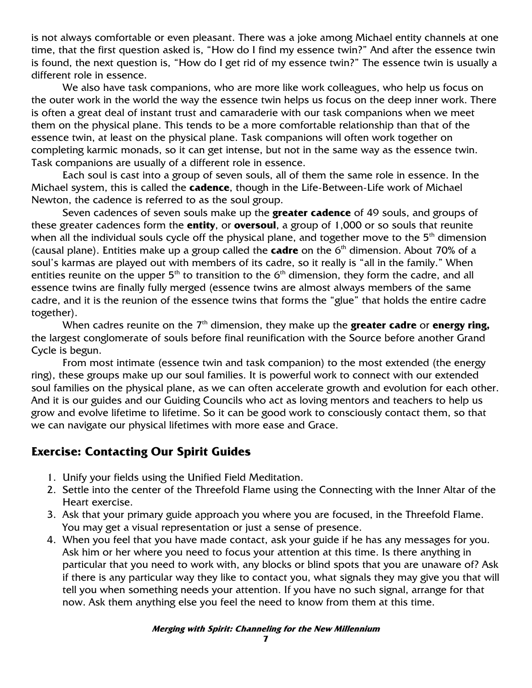is not always comfortable or even pleasant. There was a joke among Michael entity channels at one time, that the first question asked is, "How do I find my essence twin?" And after the essence twin is found, the next question is, "How do I get rid of my essence twin?" The essence twin is usually a different role in essence.

 We also have task companions, who are more like work colleagues, who help us focus on the outer work in the world the way the essence twin helps us focus on the deep inner work. There is often a great deal of instant trust and camaraderie with our task companions when we meet them on the physical plane. This tends to be a more comfortable relationship than that of the essence twin, at least on the physical plane. Task companions will often work together on completing karmic monads, so it can get intense, but not in the same way as the essence twin. Task companions are usually of a different role in essence.

 Each soul is cast into a group of seven souls, all of them the same role in essence. In the Michael system, this is called the **cadence**, though in the Life-Between-Life work of Michael Newton, the cadence is referred to as the soul group.

 Seven cadences of seven souls make up the **greater cadence** of 49 souls, and groups of these greater cadences form the **entity**, or **oversoul**, a group of 1,000 or so souls that reunite when all the individual souls cycle off the physical plane, and together move to the  $5<sup>th</sup>$  dimension (causal plane). Entities make up a group called the **cadre** on the 6<sup>th</sup> dimension. About 70% of a soul's karmas are played out with members of its cadre, so it really is "all in the family." When entities reunite on the upper  $5<sup>th</sup>$  to transition to the  $6<sup>th</sup>$  dimension, they form the cadre, and all essence twins are finally fully merged (essence twins are almost always members of the same cadre, and it is the reunion of the essence twins that forms the "glue" that holds the entire cadre together).

When cadres reunite on the 7<sup>th</sup> dimension, they make up the **greater cadre** or **energy ring,** the largest conglomerate of souls before final reunification with the Source before another Grand Cycle is begun.

 From most intimate (essence twin and task companion) to the most extended (the energy ring), these groups make up our soul families. It is powerful work to connect with our extended soul families on the physical plane, as we can often accelerate growth and evolution for each other. And it is our guides and our Guiding Councils who act as loving mentors and teachers to help us grow and evolve lifetime to lifetime. So it can be good work to consciously contact them, so that we can navigate our physical lifetimes with more ease and Grace.

## **Exercise: Contacting Our Spirit Guides**

- 1. Unify your fields using the Unified Field Meditation.
- 2. Settle into the center of the Threefold Flame using the Connecting with the Inner Altar of the Heart exercise.
- 3. Ask that your primary guide approach you where you are focused, in the Threefold Flame. You may get a visual representation or just a sense of presence.
- 4. When you feel that you have made contact, ask your guide if he has any messages for you. Ask him or her where you need to focus your attention at this time. Is there anything in particular that you need to work with, any blocks or blind spots that you are unaware of? Ask if there is any particular way they like to contact you, what signals they may give you that will tell you when something needs your attention. If you have no such signal, arrange for that now. Ask them anything else you feel the need to know from them at this time.

#### **Merging with Spirit: Channeling for the New Millennium**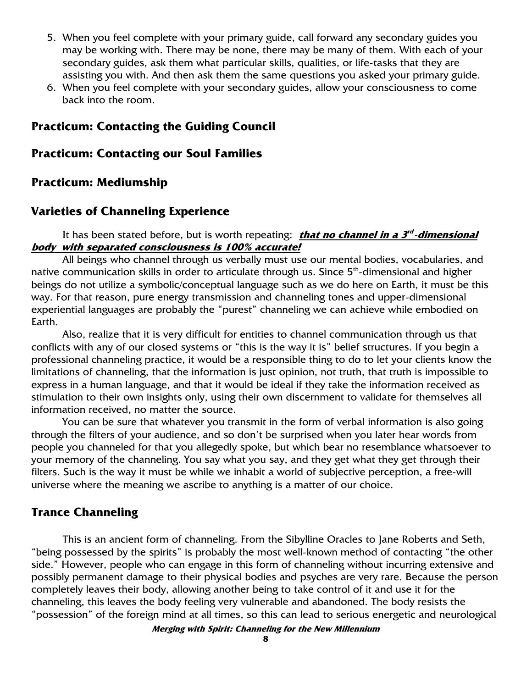- 5. When you feel complete with your primary guide, call forward any secondary guides you may be working with. There may be none, there may be many of them. With each of your secondary guides, ask them what particular skills, qualities, or life-tasks that they are assisting you with. And then ask them the same questions you asked your primary guide.
- 6. When you feel complete with your secondary guides, allow your consciousness to come back into the room.

## **Practicum: Contacting the Guiding Council**

#### **Practicum: Contacting our Soul Families**

#### **Practicum: Mediumship**

#### **Varieties of Channeling Experience**

It has been stated before, but is worth repeating: <u>**that no channel in a 3<sup>rd</sup>-dimensional**</u> **body with separated consciousness is 100% accurate!** 

All beings who channel through us verbally must use our mental bodies, vocabularies, and native communication skills in order to articulate through us. Since  $5<sup>th</sup>$ -dimensional and higher beings do not utilize a symbolic/conceptual language such as we do here on Earth, it must be this way. For that reason, pure energy transmission and channeling tones and upper-dimensional experiential languages are probably the "purest" channeling we can achieve while embodied on Earth.

Also, realize that it is very difficult for entities to channel communication through us that conflicts with any of our closed systems or "this is the way it is" belief structures. If you begin a professional channeling practice, it would be a responsible thing to do to let your clients know the limitations of channeling, that the information is just opinion, not truth, that truth is impossible to express in a human language, and that it would be ideal if they take the information received as stimulation to their own insights only, using their own discernment to validate for themselves all information received, no matter the source.

You can be sure that whatever you transmit in the form of verbal information is also going through the filters of your audience, and so don't be surprised when you later hear words from people you channeled for that you allegedly spoke, but which bear no resemblance whatsoever to your memory of the channeling. You say what you say, and they get what they get through their filters. Such is the way it must be while we inhabit a world of subjective perception, a free-will universe where the meaning we ascribe to anything is a matter of our choice.

#### **Trance Channeling**

This is an ancient form of channeling. From the Sibylline Oracles to Jane Roberts and Seth, "being possessed by the spirits" is probably the most well-known method of contacting "the other side." However, people who can engage in this form of channeling without incurring extensive and possibly permanent damage to their physical bodies and psyches are very rare. Because the person completely leaves their body, allowing another being to take control of it and use it for the channeling, this leaves the body feeling very vulnerable and abandoned. The body resists the "possession" of the foreign mind at all times, so this can lead to serious energetic and neurological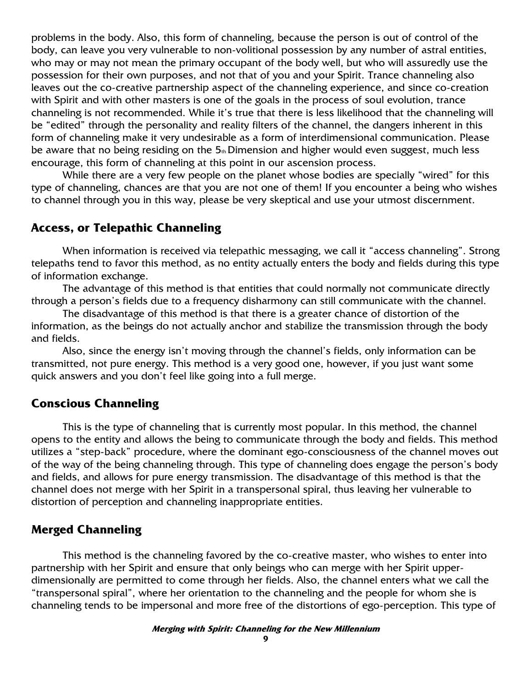problems in the body. Also, this form of channeling, because the person is out of control of the body, can leave you very vulnerable to non-volitional possession by any number of astral entities, who may or may not mean the primary occupant of the body well, but who will assuredly use the possession for their own purposes, and not that of you and your Spirit. Trance channeling also leaves out the co-creative partnership aspect of the channeling experience, and since co-creation with Spirit and with other masters is one of the goals in the process of soul evolution, trance channeling is not recommended. While it's true that there is less likelihood that the channeling will be "edited" through the personality and reality filters of the channel, the dangers inherent in this form of channeling make it very undesirable as a form of interdimensional communication. Please be aware that no being residing on the  $5<sub>th</sub>$  Dimension and higher would even suggest, much less encourage, this form of channeling at this point in our ascension process.

While there are a very few people on the planet whose bodies are specially "wired" for this type of channeling, chances are that you are not one of them! If you encounter a being who wishes to channel through you in this way, please be very skeptical and use your utmost discernment.

#### **Access, or Telepathic Channeling**

When information is received via telepathic messaging, we call it "access channeling". Strong telepaths tend to favor this method, as no entity actually enters the body and fields during this type of information exchange.

The advantage of this method is that entities that could normally not communicate directly through a person's fields due to a frequency disharmony can still communicate with the channel.

The disadvantage of this method is that there is a greater chance of distortion of the information, as the beings do not actually anchor and stabilize the transmission through the body and fields.

Also, since the energy isn't moving through the channel's fields, only information can be transmitted, not pure energy. This method is a very good one, however, if you just want some quick answers and you don't feel like going into a full merge.

## **Conscious Channeling**

This is the type of channeling that is currently most popular. In this method, the channel opens to the entity and allows the being to communicate through the body and fields. This method utilizes a "step-back" procedure, where the dominant ego-consciousness of the channel moves out of the way of the being channeling through. This type of channeling does engage the person's body and fields, and allows for pure energy transmission. The disadvantage of this method is that the channel does not merge with her Spirit in a transpersonal spiral, thus leaving her vulnerable to distortion of perception and channeling inappropriate entities.

#### **Merged Channeling**

This method is the channeling favored by the co-creative master, who wishes to enter into partnership with her Spirit and ensure that only beings who can merge with her Spirit upperdimensionally are permitted to come through her fields. Also, the channel enters what we call the "transpersonal spiral", where her orientation to the channeling and the people for whom she is channeling tends to be impersonal and more free of the distortions of ego-perception. This type of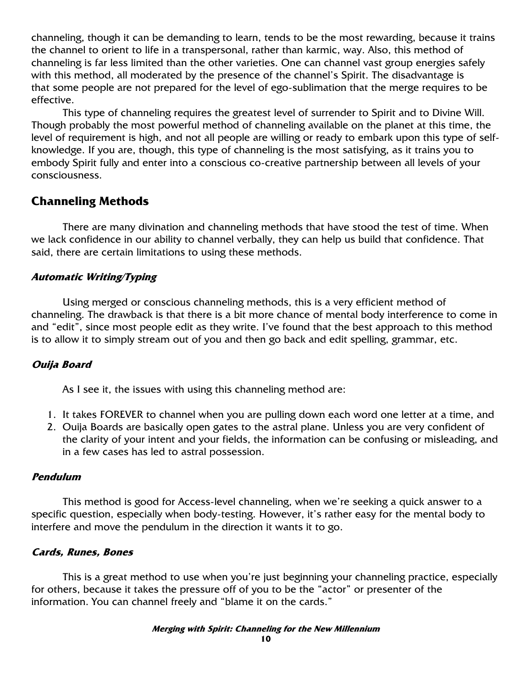channeling, though it can be demanding to learn, tends to be the most rewarding, because it trains the channel to orient to life in a transpersonal, rather than karmic, way. Also, this method of channeling is far less limited than the other varieties. One can channel vast group energies safely with this method, all moderated by the presence of the channel's Spirit. The disadvantage is that some people are not prepared for the level of ego-sublimation that the merge requires to be effective.

This type of channeling requires the greatest level of surrender to Spirit and to Divine Will. Though probably the most powerful method of channeling available on the planet at this time, the level of requirement is high, and not all people are willing or ready to embark upon this type of selfknowledge. If you are, though, this type of channeling is the most satisfying, as it trains you to embody Spirit fully and enter into a conscious co-creative partnership between all levels of your consciousness.

## **Channeling Methods**

 There are many divination and channeling methods that have stood the test of time. When we lack confidence in our ability to channel verbally, they can help us build that confidence. That said, there are certain limitations to using these methods.

#### **Automatic Writing/Typing**

 Using merged or conscious channeling methods, this is a very efficient method of channeling. The drawback is that there is a bit more chance of mental body interference to come in and "edit", since most people edit as they write. I've found that the best approach to this method is to allow it to simply stream out of you and then go back and edit spelling, grammar, etc.

#### **Ouija Board**

As I see it, the issues with using this channeling method are:

- 1. It takes FOREVER to channel when you are pulling down each word one letter at a time, and
- 2. Ouija Boards are basically open gates to the astral plane. Unless you are very confident of the clarity of your intent and your fields, the information can be confusing or misleading, and in a few cases has led to astral possession.

#### **Pendulum**

 This method is good for Access-level channeling, when we're seeking a quick answer to a specific question, especially when body-testing. However, it's rather easy for the mental body to interfere and move the pendulum in the direction it wants it to go.

#### **Cards, Runes, Bones**

 This is a great method to use when you're just beginning your channeling practice, especially for others, because it takes the pressure off of you to be the "actor" or presenter of the information. You can channel freely and "blame it on the cards."

#### **Merging with Spirit: Channeling for the New Millennium**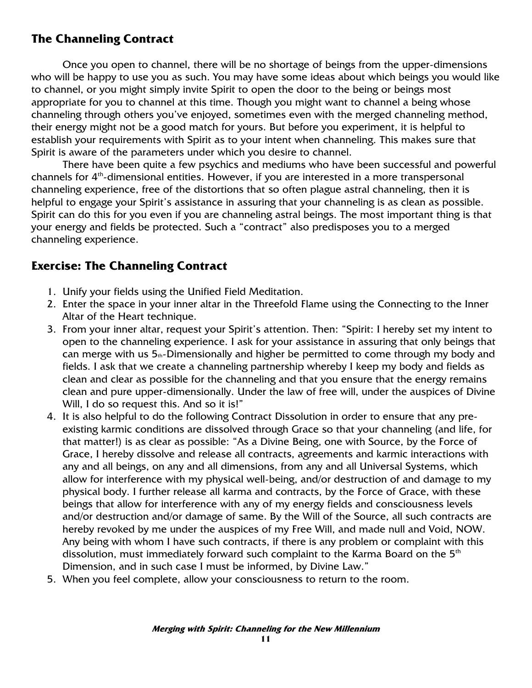## **The Channeling Contract**

Once you open to channel, there will be no shortage of beings from the upper-dimensions who will be happy to use you as such. You may have some ideas about which beings you would like to channel, or you might simply invite Spirit to open the door to the being or beings most appropriate for you to channel at this time. Though you might want to channel a being whose channeling through others you've enjoyed, sometimes even with the merged channeling method, their energy might not be a good match for yours. But before you experiment, it is helpful to establish your requirements with Spirit as to your intent when channeling. This makes sure that Spirit is aware of the parameters under which you desire to channel.

There have been quite a few psychics and mediums who have been successful and powerful channels for  $4<sup>th</sup>$ -dimensional entities. However, if you are interested in a more transpersonal channeling experience, free of the distortions that so often plague astral channeling, then it is helpful to engage your Spirit's assistance in assuring that your channeling is as clean as possible. Spirit can do this for you even if you are channeling astral beings. The most important thing is that your energy and fields be protected. Such a "contract" also predisposes you to a merged channeling experience.

## **Exercise: The Channeling Contract**

- 1. Unify your fields using the Unified Field Meditation.
- 2. Enter the space in your inner altar in the Threefold Flame using the Connecting to the Inner Altar of the Heart technique.
- 3. From your inner altar, request your Spirit's attention. Then: "Spirit: I hereby set my intent to open to the channeling experience. I ask for your assistance in assuring that only beings that can merge with us  $5<sub>th</sub>$ -Dimensionally and higher be permitted to come through my body and fields. I ask that we create a channeling partnership whereby I keep my body and fields as clean and clear as possible for the channeling and that you ensure that the energy remains clean and pure upper-dimensionally. Under the law of free will, under the auspices of Divine Will, I do so request this. And so it is!"
- 4. It is also helpful to do the following Contract Dissolution in order to ensure that any preexisting karmic conditions are dissolved through Grace so that your channeling (and life, for that matter!) is as clear as possible: "As a Divine Being, one with Source, by the Force of Grace, I hereby dissolve and release all contracts, agreements and karmic interactions with any and all beings, on any and all dimensions, from any and all Universal Systems, which allow for interference with my physical well-being, and/or destruction of and damage to my physical body. I further release all karma and contracts, by the Force of Grace, with these beings that allow for interference with any of my energy fields and consciousness levels and/or destruction and/or damage of same. By the Will of the Source, all such contracts are hereby revoked by me under the auspices of my Free Will, and made null and Void, NOW. Any being with whom I have such contracts, if there is any problem or complaint with this dissolution, must immediately forward such complaint to the Karma Board on the 5<sup>th</sup> Dimension, and in such case I must be informed, by Divine Law."
- 5. When you feel complete, allow your consciousness to return to the room.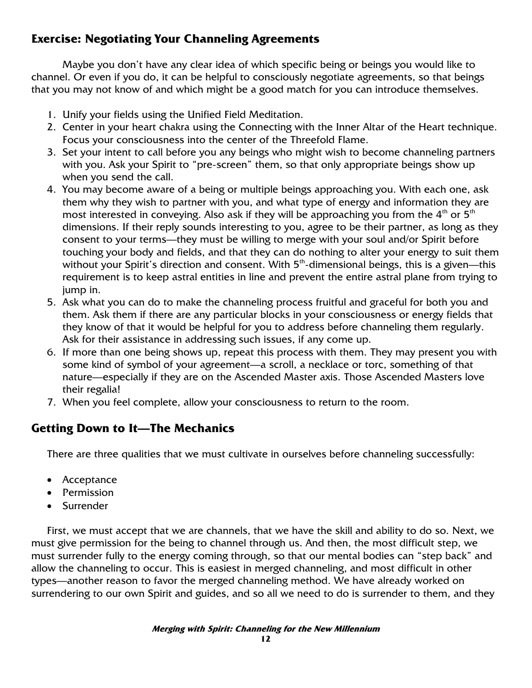## **Exercise: Negotiating Your Channeling Agreements**

 Maybe you don't have any clear idea of which specific being or beings you would like to channel. Or even if you do, it can be helpful to consciously negotiate agreements, so that beings that you may not know of and which might be a good match for you can introduce themselves.

- 1. Unify your fields using the Unified Field Meditation.
- 2. Center in your heart chakra using the Connecting with the Inner Altar of the Heart technique. Focus your consciousness into the center of the Threefold Flame.
- 3. Set your intent to call before you any beings who might wish to become channeling partners with you. Ask your Spirit to "pre-screen" them, so that only appropriate beings show up when you send the call.
- 4. You may become aware of a being or multiple beings approaching you. With each one, ask them why they wish to partner with you, and what type of energy and information they are most interested in conveying. Also ask if they will be approaching you from the  $4<sup>th</sup>$  or  $5<sup>th</sup>$ dimensions. If their reply sounds interesting to you, agree to be their partner, as long as they consent to your terms—they must be willing to merge with your soul and/or Spirit before touching your body and fields, and that they can do nothing to alter your energy to suit them without your Spirit's direction and consent. With  $5<sup>th</sup>$ -dimensional beings, this is a given—this requirement is to keep astral entities in line and prevent the entire astral plane from trying to jump in.
- 5. Ask what you can do to make the channeling process fruitful and graceful for both you and them. Ask them if there are any particular blocks in your consciousness or energy fields that they know of that it would be helpful for you to address before channeling them regularly. Ask for their assistance in addressing such issues, if any come up.
- 6. If more than one being shows up, repeat this process with them. They may present you with some kind of symbol of your agreement—a scroll, a necklace or torc, something of that nature—especially if they are on the Ascended Master axis. Those Ascended Masters love their regalia!
- 7. When you feel complete, allow your consciousness to return to the room.

## **Getting Down to It—The Mechanics**

There are three qualities that we must cultivate in ourselves before channeling successfully:

- Acceptance
- Permission
- Surrender

First, we must accept that we are channels, that we have the skill and ability to do so. Next, we must give permission for the being to channel through us. And then, the most difficult step, we must surrender fully to the energy coming through, so that our mental bodies can "step back" and allow the channeling to occur. This is easiest in merged channeling, and most difficult in other types—another reason to favor the merged channeling method. We have already worked on surrendering to our own Spirit and guides, and so all we need to do is surrender to them, and they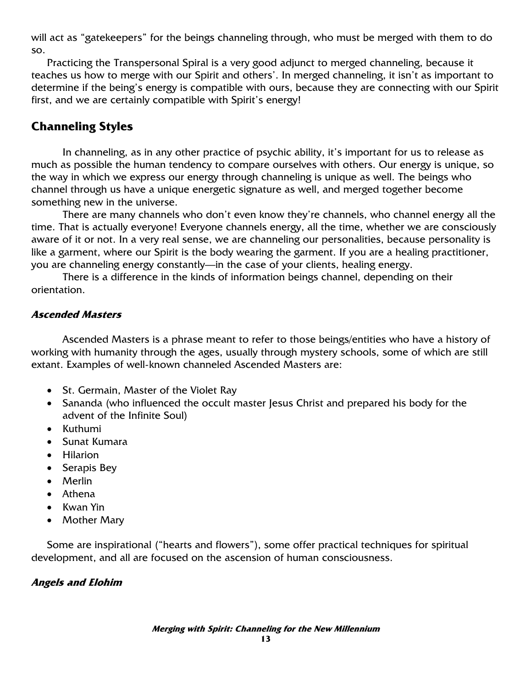will act as "gatekeepers" for the beings channeling through, who must be merged with them to do so.

Practicing the Transpersonal Spiral is a very good adjunct to merged channeling, because it teaches us how to merge with our Spirit and others'. In merged channeling, it isn't as important to determine if the being's energy is compatible with ours, because they are connecting with our Spirit first, and we are certainly compatible with Spirit's energy!

## **Channeling Styles**

In channeling, as in any other practice of psychic ability, it's important for us to release as much as possible the human tendency to compare ourselves with others. Our energy is unique, so the way in which we express our energy through channeling is unique as well. The beings who channel through us have a unique energetic signature as well, and merged together become something new in the universe.

There are many channels who don't even know they're channels, who channel energy all the time. That is actually everyone! Everyone channels energy, all the time, whether we are consciously aware of it or not. In a very real sense, we are channeling our personalities, because personality is like a garment, where our Spirit is the body wearing the garment. If you are a healing practitioner, you are channeling energy constantly—in the case of your clients, healing energy.

There is a difference in the kinds of information beings channel, depending on their orientation.

#### **Ascended Masters**

 Ascended Masters is a phrase meant to refer to those beings/entities who have a history of working with humanity through the ages, usually through mystery schools, some of which are still extant. Examples of well-known channeled Ascended Masters are:

- St. Germain, Master of the Violet Ray
- Sananda (who influenced the occult master Jesus Christ and prepared his body for the advent of the Infinite Soul)
- Kuthumi
- Sunat Kumara
- Hilarion
- Serapis Bey
- Merlin
- Athena
- Kwan Yin
- Mother Mary

Some are inspirational ("hearts and flowers"), some offer practical techniques for spiritual development, and all are focused on the ascension of human consciousness.

#### **Angels and Elohim**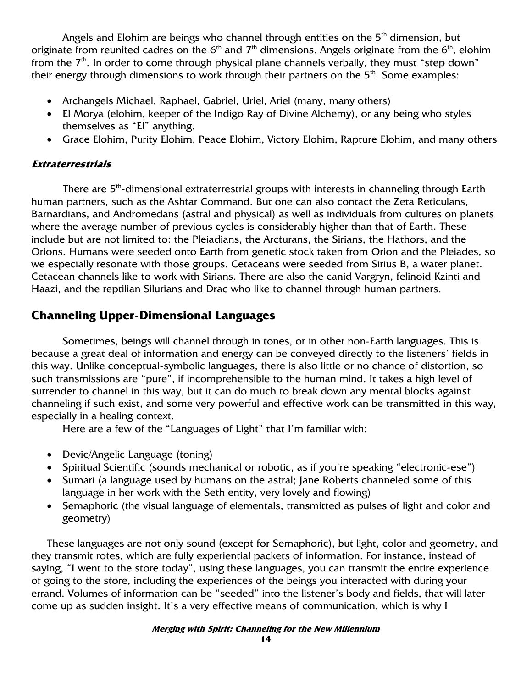Angels and Elohim are beings who channel through entities on the  $5<sup>th</sup>$  dimension, but originate from reunited cadres on the  $6<sup>th</sup>$  and  $7<sup>th</sup>$  dimensions. Angels originate from the  $6<sup>th</sup>$ , elohim from the  $7<sup>th</sup>$ . In order to come through physical plane channels verbally, they must "step down" their energy through dimensions to work through their partners on the  $5<sup>th</sup>$ . Some examples:

- Archangels Michael, Raphael, Gabriel, Uriel, Ariel (many, many others)
- El Morya (elohim, keeper of the Indigo Ray of Divine Alchemy), or any being who styles themselves as "El" anything.
- Grace Elohim, Purity Elohim, Peace Elohim, Victory Elohim, Rapture Elohim, and many others

#### **Extraterrestrials**

There are 5<sup>th</sup>-dimensional extraterrestrial groups with interests in channeling through Earth human partners, such as the Ashtar Command. But one can also contact the Zeta Reticulans, Barnardians, and Andromedans (astral and physical) as well as individuals from cultures on planets where the average number of previous cycles is considerably higher than that of Earth. These include but are not limited to: the Pleiadians, the Arcturans, the Sirians, the Hathors, and the Orions. Humans were seeded onto Earth from genetic stock taken from Orion and the Pleiades, so we especially resonate with those groups. Cetaceans were seeded from Sirius B, a water planet. Cetacean channels like to work with Sirians. There are also the canid Vargryn, felinoid Kzinti and Haazi, and the reptilian Silurians and Drac who like to channel through human partners.

## **Channeling Upper-Dimensional Languages**

 Sometimes, beings will channel through in tones, or in other non-Earth languages. This is because a great deal of information and energy can be conveyed directly to the listeners' fields in this way. Unlike conceptual-symbolic languages, there is also little or no chance of distortion, so such transmissions are "pure", if incomprehensible to the human mind. It takes a high level of surrender to channel in this way, but it can do much to break down any mental blocks against channeling if such exist, and some very powerful and effective work can be transmitted in this way, especially in a healing context.

Here are a few of the "Languages of Light" that I'm familiar with:

- Devic/Angelic Language (toning)
- Spiritual Scientific (sounds mechanical or robotic, as if you're speaking "electronic-ese")
- Sumari (a language used by humans on the astral; Jane Roberts channeled some of this language in her work with the Seth entity, very lovely and flowing)
- Semaphoric (the visual language of elementals, transmitted as pulses of light and color and geometry)

These languages are not only sound (except for Semaphoric), but light, color and geometry, and they transmit rotes, which are fully experiential packets of information. For instance, instead of saying, "I went to the store today", using these languages, you can transmit the entire experience of going to the store, including the experiences of the beings you interacted with during your errand. Volumes of information can be "seeded" into the listener's body and fields, that will later come up as sudden insight. It's a very effective means of communication, which is why I

#### **Merging with Spirit: Channeling for the New Millennium**